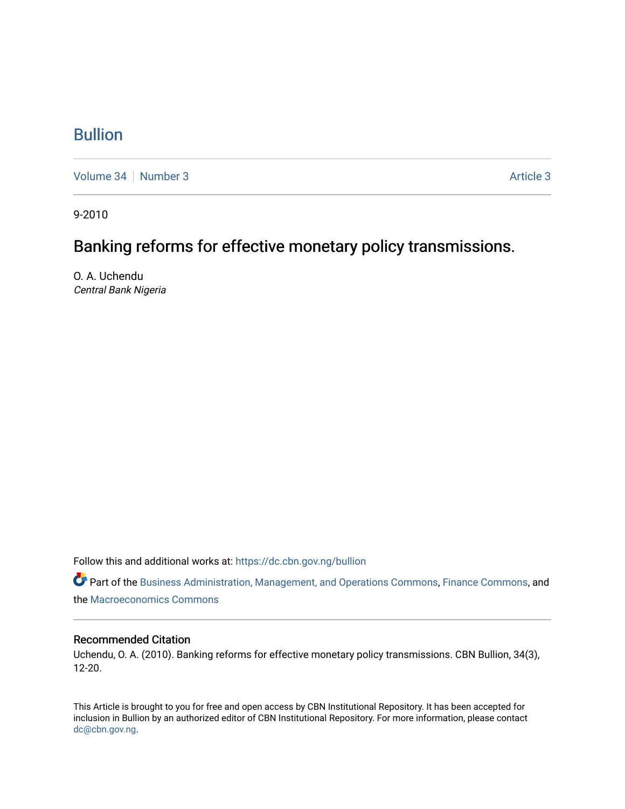## [Bullion](https://dc.cbn.gov.ng/bullion)

[Volume 34](https://dc.cbn.gov.ng/bullion/vol34) [Number 3](https://dc.cbn.gov.ng/bullion/vol34/iss3) Article 3

9-2010

# Banking reforms for effective monetary policy transmissions.

O. A. Uchendu Central Bank Nigeria

Follow this and additional works at: [https://dc.cbn.gov.ng/bullion](https://dc.cbn.gov.ng/bullion?utm_source=dc.cbn.gov.ng%2Fbullion%2Fvol34%2Fiss3%2F3&utm_medium=PDF&utm_campaign=PDFCoverPages) 

Part of the [Business Administration, Management, and Operations Commons](http://network.bepress.com/hgg/discipline/623?utm_source=dc.cbn.gov.ng%2Fbullion%2Fvol34%2Fiss3%2F3&utm_medium=PDF&utm_campaign=PDFCoverPages), [Finance Commons](http://network.bepress.com/hgg/discipline/345?utm_source=dc.cbn.gov.ng%2Fbullion%2Fvol34%2Fiss3%2F3&utm_medium=PDF&utm_campaign=PDFCoverPages), and the [Macroeconomics Commons](http://network.bepress.com/hgg/discipline/350?utm_source=dc.cbn.gov.ng%2Fbullion%2Fvol34%2Fiss3%2F3&utm_medium=PDF&utm_campaign=PDFCoverPages) 

#### Recommended Citation

Uchendu, O. A. (2010). Banking reforms for effective monetary policy transmissions. CBN Bullion, 34(3), 12-20.

This Article is brought to you for free and open access by CBN Institutional Repository. It has been accepted for inclusion in Bullion by an authorized editor of CBN Institutional Repository. For more information, please contact [dc@cbn.gov.ng](mailto:dc@cbn.gov.ng).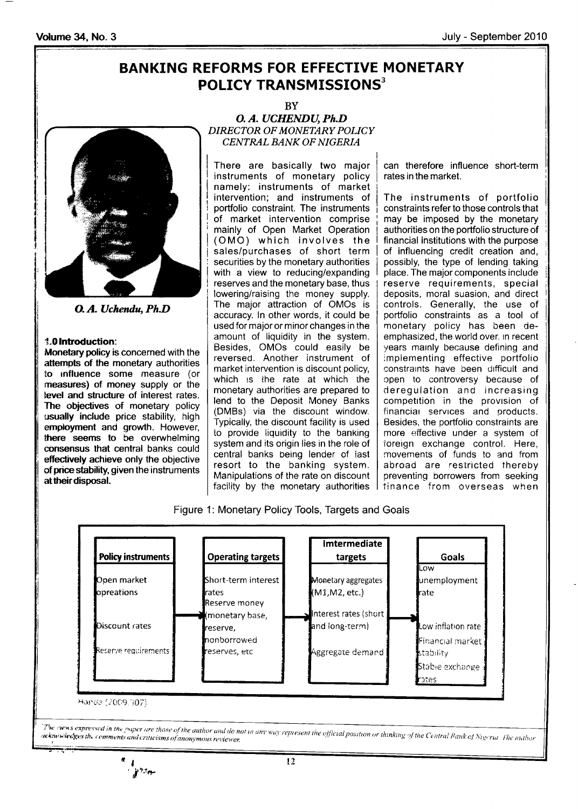## BANKING REFORMS FOR EFFECTIVE MONETARY POLICY TRANSMISSIONS $^3$



O. A. Uchendu, Ph.D

#### t.0lntroduction:

Monetary policy is concerned with the attempts of the monetary authorities to influence some measure (or measures) of money supply or the level and structure of interest rates. The objectives of monetary policy usually include price stability, high employment and growth. However, there seems to be overwhelming eonsensus that central banks could efiectively achieve only the objective of price stability, given the instruments at their disposal.

BY

O. A. UCHENDU, Ph.D DIRECTOR OF MONETARY POLICY CENTRAL BANK OF NIGERIA

There are basically two major instruments of monetary policy namely: instruments of market intervention; and instruments of portfolio constraint. The instruments of market intervention comprise mainly of Open Market Operation (OMO) which involves the sales/purchases of short term securities by the monetary authorities with a view to reducing/expanding reserves and the monetary base, thus lowering/raising the money supply. The major attraction of OMOs is accuracy. ln other words, it could be used for major or minor changes in the amount of liquidity in the system. Besides, OMOs could easily be reversed. Another instrument of market intervention is discount policy, which is the rate at which the monetary authorities are prepared to lend to the Deposit Money Banks (DMBs) via the discount window. Typically, the discount facility is used to provide liquidity to the banking system and its origin lies in the roie of central banks being lender of iast resort to the banking system. Manipulations of the rate on discount facility by the monetary authorities |

can therefore influence short-term rates in the market.

The instruments of portfolio constraints refer to those controls that may be imposed by the monetary authorities on the portfolio structure of financial institutions with the purpose of influencing credit creation and, possibly, the type of lending taking place. The major components include reserve requirements, special deposits, moral suasion, and direct controls. Generally, the use of portfolio constraints as a tool of monetary policy has been deemphasized, the world over. in recent years mainly because defining and implementing effective portfolio constraints have been difficult and cpen to controversy because of deregulation and increasing competition in the provision of financial services and products. Besides, the portfolio constraints are more effective under a system of toreign exchange control. Here, movements of funds to and from abroad are restricted thereby preventing borrowers from seeking finance from overseas when

Figure 1: Monetary Policy Tools, Targets and Goals

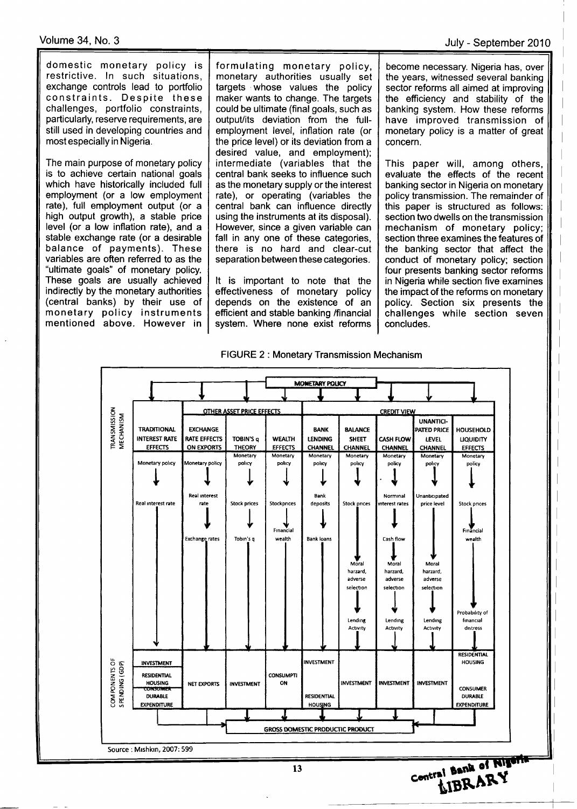domestic monetary policy is restrictive. ln such situations, exchange controls lead to portfolio constraints. Despite these challenges, portfolio constraints, particularly, reserve requirements, are still used in developing countries and most especially in Nigeria.

The main purpose of monetary policy is to achieve certain national goals which have historically included full employment (or a low employment rate), full employment output (or a high output growth), a stable price level (or a low inflation rate), and a stable exchange rate (or a desirable balance of payments). These variables are often referred to as the "ultimate goals" of monetary policy. These goals are usually achieved indirectly by the monetary authorities (central banks) by their use of monetary policy instruments mentioned above. However in formulating monetary policy, monetary authorities usually set targets whose values the policy maker wants to change. The targets could be ultimate (final goals, such as output/its deviation from the fullemployment level, inflation rate (or the price level) or its deviation from a desired value, and employment); intermediate (variables that the central bank seeks to influence such as the monetary supply or the interest rate), or operating (variables the central bank can influence directly using the instruments at its disposal). However, since a given variable can fall in any one of these categories, there is no hard and clear-cut separation between these categories.

It is important to note that the effectiveness of monetary policy depends on the existence of an efficient and stable banking /financial system. Where none exist reforms

become necessary. Nigeria has, over the years, witnessed several banking sector reforms all aimed at improving the efficiency and stability of the banking system. How these reforms have improved transmission of monetary policy is a matter of great concern.

This paper will, among others, evaluate the effects of the recent banking sector in Nigeria on monetary policy transmission. The remainder of this paper is structured as follows: section two dwells on the transmission mechanism of monetary policy; section three examines the features of the banking sector that affect the conduct of monetary policy; section four presents banking sector reforms in Nigeria while section five examines the impact of the reforms on monetary policy. Section six presents the challenges while section seven concludes.





13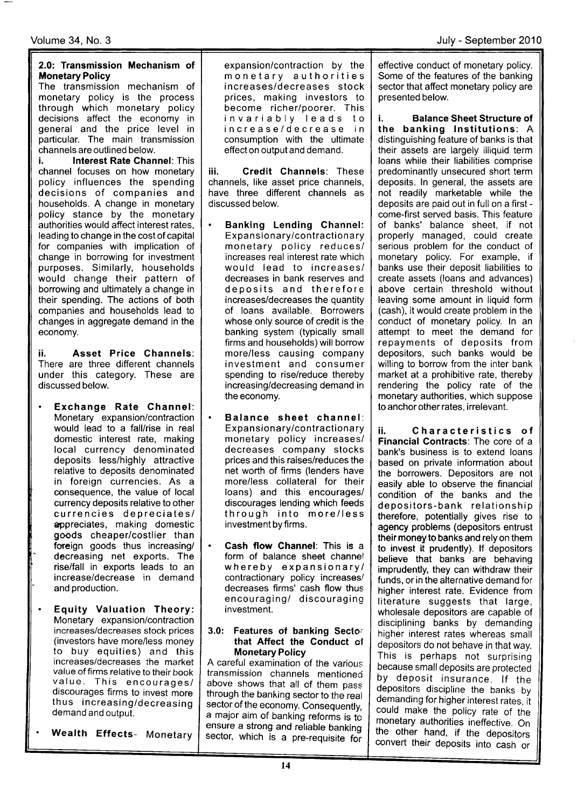#### 2.0: Transmission Mechanism of **Monetary Policy**

The transmission mechanism of monetary policy is the process through which monetary policy decisions affect the economy in general and the price level in particular. The main transmission channels are outlined below.

i. **Interest Rate Channel: This** channel focuses on how monetary policy influences the spending decisions of companies and households. A change in monetary policy stance by the monetary authorities would affect interest rates, leading to change in the cost of capital for companies with implication of change in borrowing for investment purposes. Similarly, households would change their pattern of borrowing and ultimately a change in their spending. The actions of both companies and households lead to changes in aggregate demand in the economy.

ii. Asset Price Channels: There are three different channels under this category. These are discussed below.

- Exchange Rate Channel: Monetary expansion/contraction would lead to a fall/rise in real domestic interest rate, making local currency denominated deposits less/highly attractive relative to deposits denominated in foreign currencies. As <sup>a</sup> consequence, the value of local currency deposits relative to other currencies depreciates/ appreciates, making domestic goods cheaper/costlier than foreign goods thus increasing/ decreasing net exports. The rise/fall in exports leads to an increase/decrease in demand and production.
- Equity Valuation Theory: Monetary expansion/contraction increases/decreases stock prices (investors have more/less money to buy equities) and this increases/decreases the market value. This encourages/<br>discourages firms to invest more thus increasing/decreasing demand and output.

Wealth Effects- Monetary

expansion/contraction by the monetary authorities increases/decreases stock prices, making investors to become richer/poorer. This invariably leads to increase/decrease in consumption with the ultimate effect on output and demand.

iii. Credit Channels: These channels, like asset price channels, have three different channels as discussed below.

- Banking Lending Channel: Expansionary/contractionary monetary policy reduces/ increases real interest rate which would lead to increases/ decreases in bank reserves and deposits and therefore increases/decreases the quantity of loans available. Borrowers whose only source of credit is the banking system (typically small firms and households) will borrow more/less causing company investment and consumer spending to rise/reduce thereby increasing/decreasing demand in the economy.
- $\bullet$ Balance sheet channel: Expansionary/contractionary monetary policy increases/ decreases company stocks prices and this raises/reduces the net worth of firms (lenders have more/less collateral for their loans) and this encourages/ discourages lending which feeds through into more/less investment by firms.
- Cash flow Channel: This is a form of balance sheet channel whereby expansionary/ contractionary policy increases/ decreases firms' cash flow thus encouraging/ discouraging investment.

#### 3.0: Features of banking Secto; that Affect the Conduct ol **Monetary Policy**

A careful examination of the various transmission channels mentioned above shows that all of them pass through the banking sector to the real sector of the economy. Consequently, a major aim of banking reforms is to ensure a strong and reliable banking sector, which is a pre-requisite for

effective conduct of monetary policy. Some of the features of the banking sector that affect monetary policy are presented below.

i. Balance Sheet Structure of the banking lnstitutions: <sup>A</sup> distinguishing feature of banks is that their assets are largely illiquid term loans while their liabilities comprise predominantly unsecured short term deposits. ln general, the assets are not readily marketable while the deposits are paid out in full on a first come-first served basis. This feature of banks' balance sheet, if not properly managed, could create serious problem for the conduct of monetary policy. For example, if banks use their deposit liabilities to create assets (loans and advances) above certain threshold without leaving some amount in liquid form (cash), it would create problem in the conduct of monetary policy. ln an attempt to meet the demand for repayments of deposits from depositors, such banks would be willing to borrow from the inter bank market at a prohibitive rate, thereby rendering the policy rate of the monetary authorities, which suppose to anchor other rates, irrelevant.

ii. Characteristics of Financial Contracts: The core of a bank's business is to extend loans based on private information about the borrowers. Depositors are not easily able to observe the financial condition of the banks and the depositors-bank relationship therefore, potentially gives rise to agency problems (depositors entrust their money to banks and rely on them to invest it prudently). lf depositors believe that banks are behaving imprudently, they can withdraw their funds, or in the alternative demand for higher interest rate. Evidence from literature suggests that large, wholesale depositors are capable of disciplining banks by demanding higher interest rates whereas small depositors do not behave in that way. This is perhaps not surprising<br>because small deposits are protected by deposit insurance. If the depositors discipline the banks by demanding for higher interest rates, it could make the policy rate of the monetary authorities ineffective. On the other hand, if the depositors convert their deposits into cash or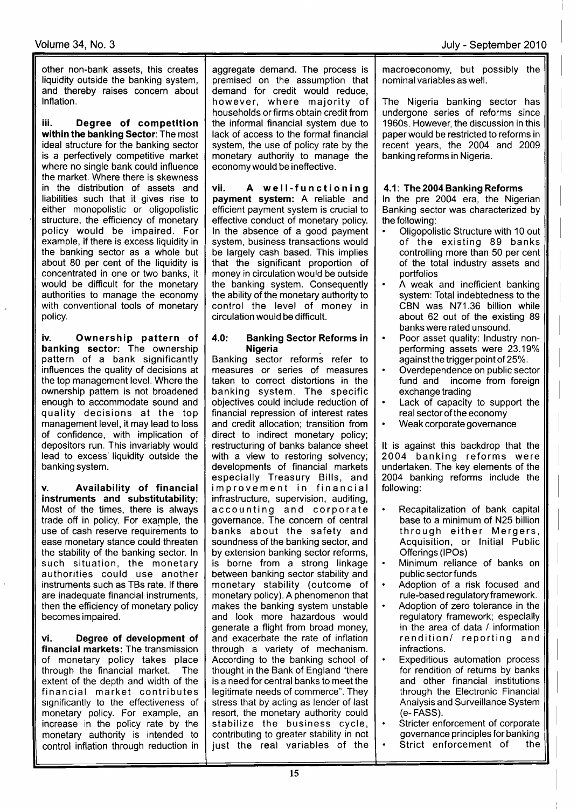other non-bank assets, this creates liquidity outside the banking system, and thereby raises concern about inflation.

iii. Degree of competition within the banking Sector: The most ideal structure for the banking sector is a perfectively competitive market where no single bank could influence the market. Where there is skewness in the distribution of assets and liabilities such that it gives rise to either monopolistic or oligopolistic structure, the efficiency of monetary policy would be impaired. For example, if there is excess liquidity in the banking sector as a whole but about 80 per cent of the liquidity is concentrated in one or two banks, it would be difficult for the monetary authorities to manage the economy with conventional tools of monetary policy.

iv. Ownership pattern of banking sector: The ownership pattern of a bank significantly influences the quality of decisions at the top management level. Where the ownership pattern is not broadened enough to accommodate sound and quality decisions at the top management level, it may lead to loss of confidence, with implication of depositors run. This invariably would lead to excess'liquidity outside the banking system.

Availability of financial instruments and substitutability; Most of the times, there is always trade off in policy. For example, the use of cash reserve requirements to ease monetary stance could threaten the stability of the banking sector. ln such situation, the monetary authorities could use another instruments such as TBs rate. lf there are inadequate financial instruments, then the efficiency of monetary policy becomes impaired.

vi. Degree of development of financial markets: The transmission of monetary policy takes place through the financial market. The extent of the depth and width of the financial market contributes significantly to the effectiveness of monetary policy. For example, an increase in the policy rate by the monetary authority is intended to control inflation through reduction in aggregate demand. The process is premised on the assumption that demand for credit would reduce, however, where majority of households or firms obtain credit from the informal financial system due to lack of access to the formal financial system, the use of policy rate by the monetary authority to manage the economy would be ineffective.

vii. A well-functioning payment system: A reliable and efficient payment system is crucial to effective conduct of monetary policy. ln the absence of a good payment system, business transactions would be largely cash based. This implies that the significant proportion of money in circulation would be outside the banking system. Consequently the ability of the monetary authority to control the level of money in circulation would be difficult.

#### 4.0: Banking Sector Reforms in **Nigeria**

Banking sector reforms refer to measures or series of measures taken to correct distortions in the banking system. The specific objectives could include reduction of financial repression of interest rates and credit allocation; transition from direct to indirect monetary policy; restructuring of banks balance sheet with a view to restoring solvency; developments of financial markets especially Treasury Bills, and improvement in financial infrastructure, supervision, auditing, accounting and corporate governance. The concern of central banks about the safety and soundness of the banking sector, and by extension banking sector reforms, is borne from a strong linkage between banking sector stability and monetary stability (outcome of monetary policy). A phenomenon that makes the banking system unstable and look more hazardous would generate a flight from broad money, and exacerbate the rate of inflation through a variety of mechanism. According to the banking school of thought in the Bank of England "there is a need for central banks to meet the legitimate needs of commerce". They stress that by acting as lender of last resort, the monetary authority could stabilize the business cycle, contributing to greater stability in not just the real variables of the macroeconomy, but possibly the nominal variables as well.

The Nigeria banking sector has undergone series of reforms since 1960s. However, the discussion in this paper would be restricted to reforms in recent years, the 2004 and 2009 banking reforms in Nigeria.

### 4.1: The 2004 Banking Reforms

ln the pre 2004 era, the Nigerian Banking sector was characterized by the following:

- . Oligopolistic Structure with 10 out of the existing 89 banks controlling more than 50 per cent of the total industry assets and portfolios
- . A weak and inefficient banking system: Total indebtedness to the CBN was N71.36 billion while about 62 out of the existing 89 banks were rated unsound.
- . Poor asset quality: lndustry nonperforming assets were 23.19% againstthe trigger point of 25%.
- Overdependence on public sector<br>fund and income from foreign income from foreign exchange trading
- Lack of capacity to support the real sector of the economy
- . Weak corporate governance

It is against this backdrop that the 2004 banking reforms were undertaken. The key elements of the 2004 banking reforms include the following:

- Recapitalization of bank capital base to a minimum of N25 billion through either Mergers, Acquisition, or lnitiql Public Offerings (lPOs)
- Minimum reliance of banks on public sector funds
- Adoption of a risk focused and rule-based regulatory framework.
- Adoption of zero tolerance in the regulatory framework; especially in the area of data / information rendition/ reporting and infractions.
- Expeditious automation process for rendition of returns by banks and other financial institutions through the Electronic Financial Analysis and Surveillance System (e- FASS).
- Stricter enforcement of corporate governance principles for banking Strict enforcement of the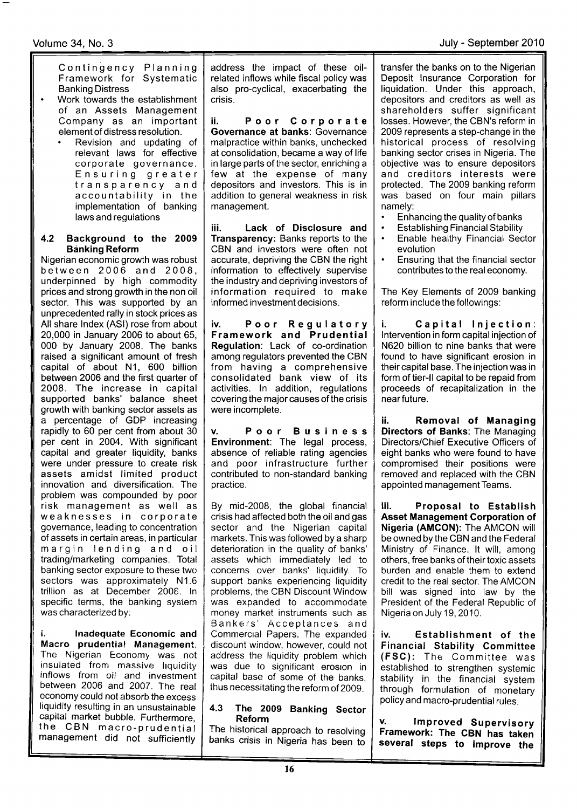### Volume 34, No. 3 July - September 2010

Contingency Planning Framework for Systematic Banking Distress

- $\overline{\phantom{a}}$ Work towards the establishment<br>of an Assets Management Company as an important element of distress resolution.
	- . Revision and updating of relevant laws for effective corporate governance. Ensuring greater transparency and accountability in the implementation of banking laws and regulations

#### 4.2 Background to the <sup>2009</sup> **Banking Reform**

Nigerian economic growth was robust between 2006 and 2008, underpinned by high commodity prices and strong growth in the non oil sector. This was supported by an unprecedented rally in stock prices as All share lndex (ASl) rose from about 20,000 in January 2006 to about 65, 000 by January 2008. The banks raised a significant amount of fresh capital of about N1, 600 billion between 2006 and the first quarter of 2008. The increase in capital supported banks' balance sheet growth with banking sector assets as a percentage of GDP increasing rapidly to 60 per cent from about 30 per cent in 2004. With significant capital and greater liquidity, banks were under pressure to create risk assets amidst limited product innovation and diversification. The problem was compounded by poor risk management as well as weaknesses in corporate governance, leading to concentration of assets in certain areas, in particular margin lending and oil trading/marketing companies, Total banking sector exposure to these two sectors was approximately N1.6 trillion as at December 2008. ln specific terms, the banking system was characterized by:

i. lnadequate Economic and Macro prudential Management. The Nigerian Economy was not insulated from massive llquidity inflows from oil and investment between 2006 and 2007. The real economy could not absorb the excess liquidity resulting in an unsustainable<br>capital market bubble. Furthermore, the CBN macro-prudential management did not sufficienfly

address the impact of these oilrelated inflows while fiscal policy was also pro-cyclical, exacerbating the crisis.

ii. Poor Corporate Governance at banks: Governance malpractice within banks, unchecked at consolidation, became a way of life in large parts of the sector, enriching a few at the expense of many depositors and investors. This is in addition to general weakness in risk management.

iii. Lack of Disclosure and Transparency: Banks reports to the CBN and investors were often not accurate, depriving the CBN the right information to effectively supervise the industry and depriving investors of information required to make informed investment decisions.

iv. Poor Regulator Framework and Prudential Regulation: Lack of co-ordination among regulators prevented the CBN from having a comprehensive consolidated bank view of its activities. ln addition, regulations covering the major causes of the crisis were incomplete.

Poor Business Environment: The legal process, absence of reliable rating agencies and poor infrastructure further contributed to non-standard banking practice.

By mid-2008, the global financial crisis had affected both the oil and gas sector and the Nigerian capital markets. Tnis was followed by a sharp deterioration in the quality of banks' assets which immediately led to concerns over banks' liquidity. To support banks experiencing liquidity problems, the CBN Discount Window was expanded to accommodate money market instruments such as Bankers' Acceptances and Commercial Papers. The expanded discount window, however, could not address the liquidity problem which was due to significant erosion in capital base of some of the banks, thus necessitating the reform of 2009.

#### 4.3 The 2009 Banking Sector Reform

The historical approach to resolving banks crisis in Nigeria has been to

transfer the banks on to the Nigerian Deposit lnsurance Corporation for liquidation. Under this approach, depositors and creditors as well as shareholders suffer significant losses. However, the CBN's reform in 2009 represents a step-change in the historical process of resolving banking sector crises in Nigeria. The objective was to ensure depositors and creditors interests were protected. The 2009 banking reform was based on four main pillars namely:

- . Enhancing the quality of banks
- **Establishing Financial Stability**
- . Enable healthy Financial Sector evolution
- . Ensuring that the financial sector contributes to the real economy.

The Key Elements of 2009 banking reform include the followings:

Capital Injection: lntervention in form capital injection of N620 billion to nine banks that were found to have significant erosion in their capital base. The injection was in form of tier-II capital to be repaid from proceeds of recapitalization in the near future.

ii. Removal of Managing Directors of Banks: The Managing Directors/Chief Executive Officers of eight banks who were found to have compromised their positions were removed and replaced with the CBN appointed management Teams.

iii. Proposal to Establish Asset Management Corporation of Nigeria (AMCON): The AMCON will be owned by the CBN and the Federal Ministry of Finance. lt will, among others, free banks of their toxic assets burden and enable them to extend credit to the real sector. The AMCON bill was signed into law by the President of the Federal Republic of Nigeria on July 19,2010.

iv. Establishment of the Financial Stability Committee (FSC): The Committee was established to strengthen systemic stability in the financial system through formulation of monetary policy and macro-prudential rules.

y. lmproved Supervisory Framework: The CBN has taken several steps to improve the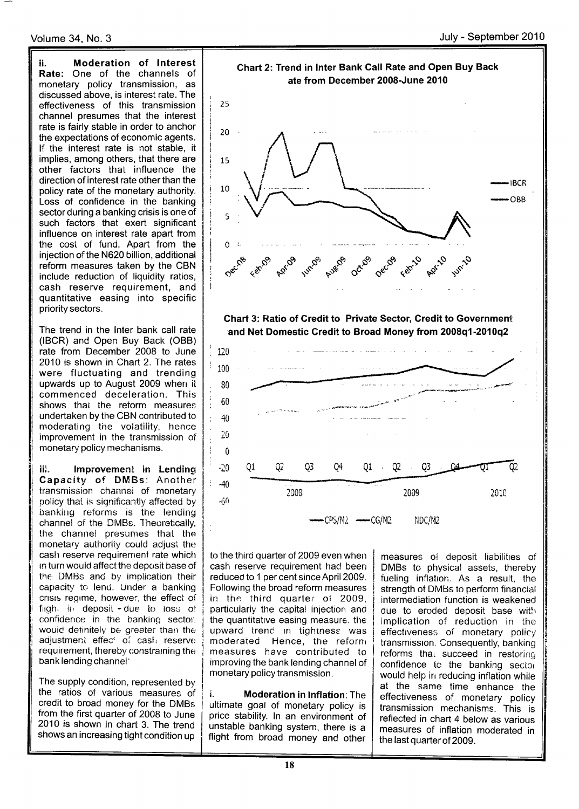ii. Moderation of lnterest Rate: One of the channels of monetary policy transmission, as discussed above, is interest rate. The effectiveness of this transmission channel presumes that the interest rate is fairly stable in order to anchor the expectations of economic agents. lf the interest rate is not stable, it implies, among others, that there are other factors that infiuence the direction of interest rate other than the policy rate of the monetary authority. Loss of confidence in the banking sector during a banking crisis is one of such factors that exert significant influence on interest rate apart from the cost of fund. Apart from the injection of the N620 billion, additional reform measures taken by the CBN include reduction of liquidity ratios, cash reserve requirement, and quantitative easing into specific priority sectors.

The trend in the lnter bank call rate (IBCR) and Open Buy Back (OBB) rate from December 2008 to June 2010 is shown in Chart 2. The rates were fluctuating and trending upwards up to August 2009 when it commenced deceleration. This shows that the reform measures undertaken by the CBN contributed to moderating the volatility, hence improvement in the transmission of monetary policy mechanisms.

iii. Improvement in Lending Capacity of DMBs: Another transmission channei of monetary policy that is significantly affected by banking reforms is the lending channel of the DMBs. Theoretically, the channel presumes that the monetary authority could adjust the cash reserve requirement rate which rn turn would affectthe deposit base of the DMBs and by implication their capacity to lend. Under a banking crisis regime, however, the effect of flight in deposit - due to loss of confidence in the banking sector, would definitely be greater than the adjustment effec<sup>c</sup> of cast reservel requirement, thereby constraining the bank lending channei'

The supply condition, represented by the ratios of various measures of credit to broad money for the DMBs from the first quarter of 2008 to June 2010 is shown in chart 3. The trend shows an increasing tight condition up



to the third quarter of 2009 even when cash reserve requirement had been reduced to 1 per cent since April 2009. Following the broad reform measures in the third quarter of 2009, particularly the capital injection and the quantitative easing measure, the upward trend in tightness was moderated Hence, the reform measures have contributed to improving the bank lending channel of monetary policy transmission.

i. Moderation in lnflation:The ultimate goai of monetary policy is price stability. ln an environment of unstable banking system, there is a flight from broad money and other

measures of deposit liabilities of DMBs to physical assets, thereby fueling inflation. As a result, the strength of DMBs to perform financial intermediation function is weakened due to eroded deposit base with implication of reduction in the effectiveness of monetary policy transmission. Consequently, banking reforms that succeed in restoring confidence to the banking sector would help in reducing inflation while at the same time enhance the effectiveness of monetary policy transmission mechanisms. This is reflected in chart 4 below as various measures of inflation moderated in the last quarterof 2009.